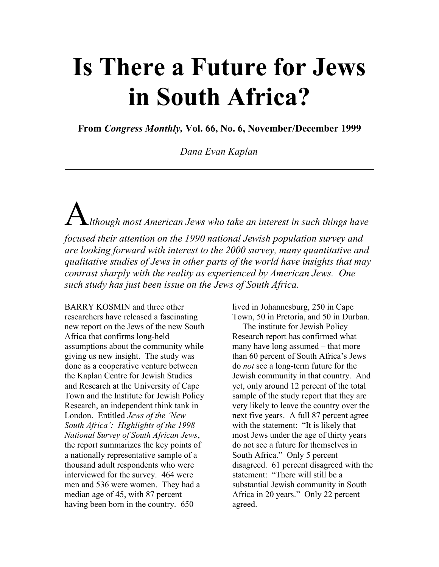## Is There a Future for Jews in South Africa?

From Congress Monthly, Vol. 66, No. 6, November/December 1999

Dana Evan Kaplan

 $\triangle$ Ithough most American Jews who take an interest in such things have focused their attention on the 1990 national Jewish population survey and are looking forward with interest to the 2000 survey, many quantitative and qualitative studies of Jews in other parts of the world have insights that may contrast sharply with the reality as experienced by American Jews. One such study has just been issue on the Jews of South Africa.

BARRY KOSMIN and three other researchers have released a fascinating new report on the Jews of the new South Africa that confirms long-held assumptions about the community while giving us new insight. The study was done as a cooperative venture between the Kaplan Centre for Jewish Studies and Research at the University of Cape Town and the Institute for Jewish Policy Research, an independent think tank in London. Entitled Jews of the 'New South Africa': Highlights of the 1998 National Survey of South African Jews, the report summarizes the key points of a nationally representative sample of a thousand adult respondents who were interviewed for the survey. 464 were men and 536 were women. They had a median age of 45, with 87 percent having been born in the country. 650

lived in Johannesburg, 250 in Cape Town, 50 in Pretoria, and 50 in Durban.

The institute for Jewish Policy Research report has confirmed what many have long assumed – that more than 60 percent of South Africa's Jews do not see a long-term future for the Jewish community in that country. And yet, only around 12 percent of the total sample of the study report that they are very likely to leave the country over the next five years. A full 87 percent agree with the statement: "It is likely that most Jews under the age of thirty years do not see a future for themselves in South Africa." Only 5 percent disagreed. 61 percent disagreed with the statement: "There will still be a substantial Jewish community in South Africa in 20 years." Only 22 percent agreed.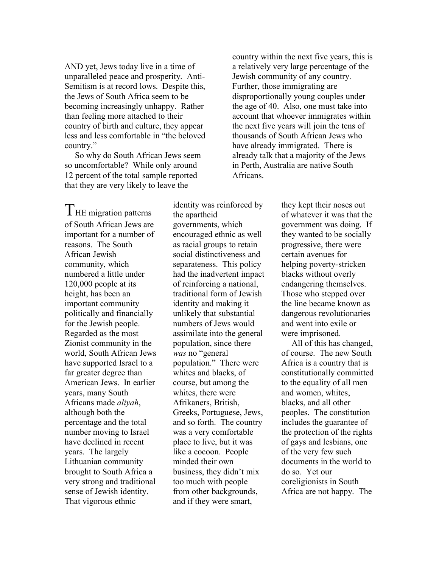AND yet, Jews today live in a time of unparalleled peace and prosperity. Anti-Semitism is at record lows. Despite this, the Jews of South Africa seem to be becoming increasingly unhappy. Rather than feeling more attached to their country of birth and culture, they appear less and less comfortable in "the beloved country."

So why do South African Jews seem so uncomfortable? While only around 12 percent of the total sample reported that they are very likely to leave the

country within the next five years, this is a relatively very large percentage of the Jewish community of any country. Further, those immigrating are disproportionally young couples under the age of 40. Also, one must take into account that whoever immigrates within the next five years will join the tens of thousands of South African Jews who have already immigrated. There is already talk that a majority of the Jews in Perth, Australia are native South Africans.

THE migration patterns of South African Jews are important for a number of reasons. The South African Jewish community, which numbered a little under 120,000 people at its height, has been an important community politically and financially for the Jewish people. Regarded as the most Zionist community in the world, South African Jews have supported Israel to a far greater degree than American Jews. In earlier years, many South Africans made aliyah, although both the percentage and the total number moving to Israel have declined in recent years. The largely Lithuanian community brought to South Africa a very strong and traditional sense of Jewish identity. That vigorous ethnic

identity was reinforced by the apartheid governments, which encouraged ethnic as well as racial groups to retain social distinctiveness and separateness. This policy had the inadvertent impact of reinforcing a national, traditional form of Jewish identity and making it unlikely that substantial numbers of Jews would assimilate into the general population, since there was no "general population." There were whites and blacks, of course, but among the whites, there were Afrikaners, British, Greeks, Portuguese, Jews, and so forth. The country was a very comfortable place to live, but it was like a cocoon. People minded their own business, they didn't mix too much with people from other backgrounds, and if they were smart,

they kept their noses out of whatever it was that the government was doing. If they wanted to be socially progressive, there were certain avenues for helping poverty-stricken blacks without overly endangering themselves. Those who stepped over the line became known as dangerous revolutionaries and went into exile or were imprisoned.

All of this has changed, of course. The new South Africa is a country that is constitutionally committed to the equality of all men and women, whites, blacks, and all other peoples. The constitution includes the guarantee of the protection of the rights of gays and lesbians, one of the very few such documents in the world to do so. Yet our coreligionists in South Africa are not happy. The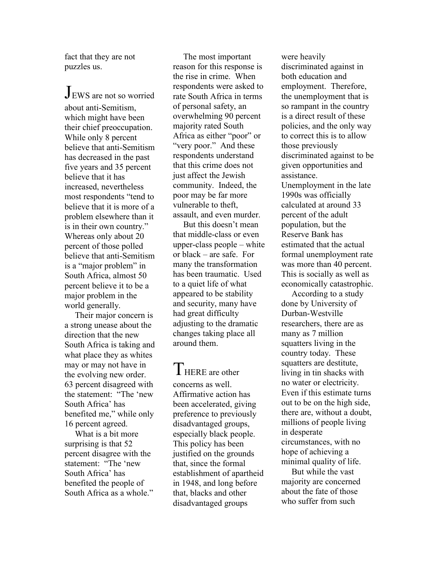fact that they are not puzzles us.

JEWS are not so worried about anti-Semitism, which might have been their chief preoccupation. While only 8 percent believe that anti-Semitism has decreased in the past five years and 35 percent believe that it has increased, nevertheless most respondents "tend to believe that it is more of a problem elsewhere than it is in their own country." Whereas only about 20 percent of those polled believe that anti-Semitism is a "major problem" in South Africa, almost 50 percent believe it to be a major problem in the world generally.

Their major concern is a strong unease about the direction that the new South Africa is taking and what place they as whites may or may not have in the evolving new order. 63 percent disagreed with the statement: "The 'new South Africa' has benefited me," while only 16 percent agreed.

What is a bit more surprising is that 52 percent disagree with the statement: "The 'new South Africa' has benefited the people of South Africa as a whole."

The most important reason for this response is the rise in crime. When respondents were asked to rate South Africa in terms of personal safety, an overwhelming 90 percent majority rated South Africa as either "poor" or "very poor." And these respondents understand that this crime does not just affect the Jewish community. Indeed, the poor may be far more vulnerable to theft, assault, and even murder.

But this doesn't mean that middle-class or even upper-class people – white or black – are safe. For many the transformation has been traumatic. Used to a quiet life of what appeared to be stability and security, many have had great difficulty adjusting to the dramatic changes taking place all around them.

THERE are other concerns as well. Affirmative action has been accelerated, giving preference to previously disadvantaged groups, especially black people. This policy has been justified on the grounds that, since the formal establishment of apartheid in 1948, and long before that, blacks and other disadvantaged groups

were heavily discriminated against in both education and employment. Therefore, the unemployment that is so rampant in the country is a direct result of these policies, and the only way to correct this is to allow those previously discriminated against to be given opportunities and assistance. Unemployment in the late 1990s was officially calculated at around 33 percent of the adult population, but the Reserve Bank has estimated that the actual formal unemployment rate was more than 40 percent. This is socially as well as economically catastrophic.

According to a study done by University of Durban-Westville researchers, there are as many as 7 million squatters living in the country today. These squatters are destitute, living in tin shacks with no water or electricity. Even if this estimate turns out to be on the high side, there are, without a doubt, millions of people living in desperate circumstances, with no hope of achieving a minimal quality of life.

But while the vast majority are concerned about the fate of those who suffer from such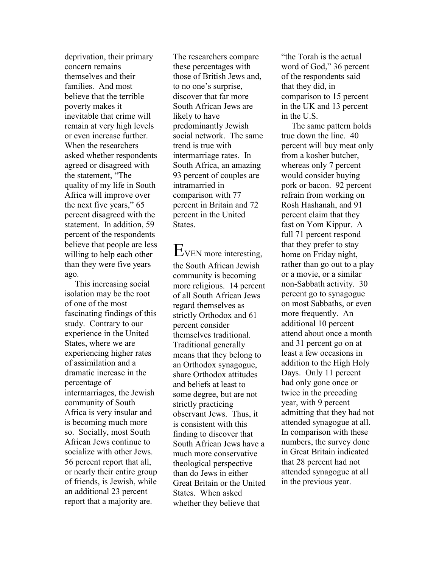deprivation, their primary concern remains themselves and their families. And most believe that the terrible poverty makes it inevitable that crime will remain at very high levels or even increase further. When the researchers asked whether respondents agreed or disagreed with the statement, "The quality of my life in South Africa will improve over the next five years," 65 percent disagreed with the statement. In addition, 59 percent of the respondents believe that people are less willing to help each other than they were five years ago.

This increasing social isolation may be the root of one of the most fascinating findings of this study. Contrary to our experience in the United States, where we are experiencing higher rates of assimilation and a dramatic increase in the percentage of intermarriages, the Jewish community of South Africa is very insular and is becoming much more so. Socially, most South African Jews continue to socialize with other Jews. 56 percent report that all, or nearly their entire group of friends, is Jewish, while an additional 23 percent report that a majority are.

The researchers compare these percentages with those of British Jews and, to no one's surprise, discover that far more South African Jews are likely to have predominantly Jewish social network. The same trend is true with intermarriage rates. In South Africa, an amazing 93 percent of couples are intramarried in comparison with 77 percent in Britain and 72 percent in the United States.

EVEN more interesting, the South African Jewish community is becoming more religious. 14 percent of all South African Jews regard themselves as strictly Orthodox and 61 percent consider themselves traditional. Traditional generally means that they belong to an Orthodox synagogue, share Orthodox attitudes and beliefs at least to some degree, but are not strictly practicing observant Jews. Thus, it is consistent with this finding to discover that South African Jews have a much more conservative theological perspective than do Jews in either Great Britain or the United States. When asked whether they believe that

"the Torah is the actual word of God," 36 percent of the respondents said that they did, in comparison to 15 percent in the UK and 13 percent in the U.S.

The same pattern holds true down the line. 40 percent will buy meat only from a kosher butcher, whereas only 7 percent would consider buying pork or bacon. 92 percent refrain from working on Rosh Hashanah, and 91 percent claim that they fast on Yom Kippur. A full 71 percent respond that they prefer to stay home on Friday night, rather than go out to a play or a movie, or a similar non-Sabbath activity. 30 percent go to synagogue on most Sabbaths, or even more frequently. An additional 10 percent attend about once a month and 31 percent go on at least a few occasions in addition to the High Holy Days. Only 11 percent had only gone once or twice in the preceding year, with 9 percent admitting that they had not attended synagogue at all. In comparison with these numbers, the survey done in Great Britain indicated that 28 percent had not attended synagogue at all in the previous year.